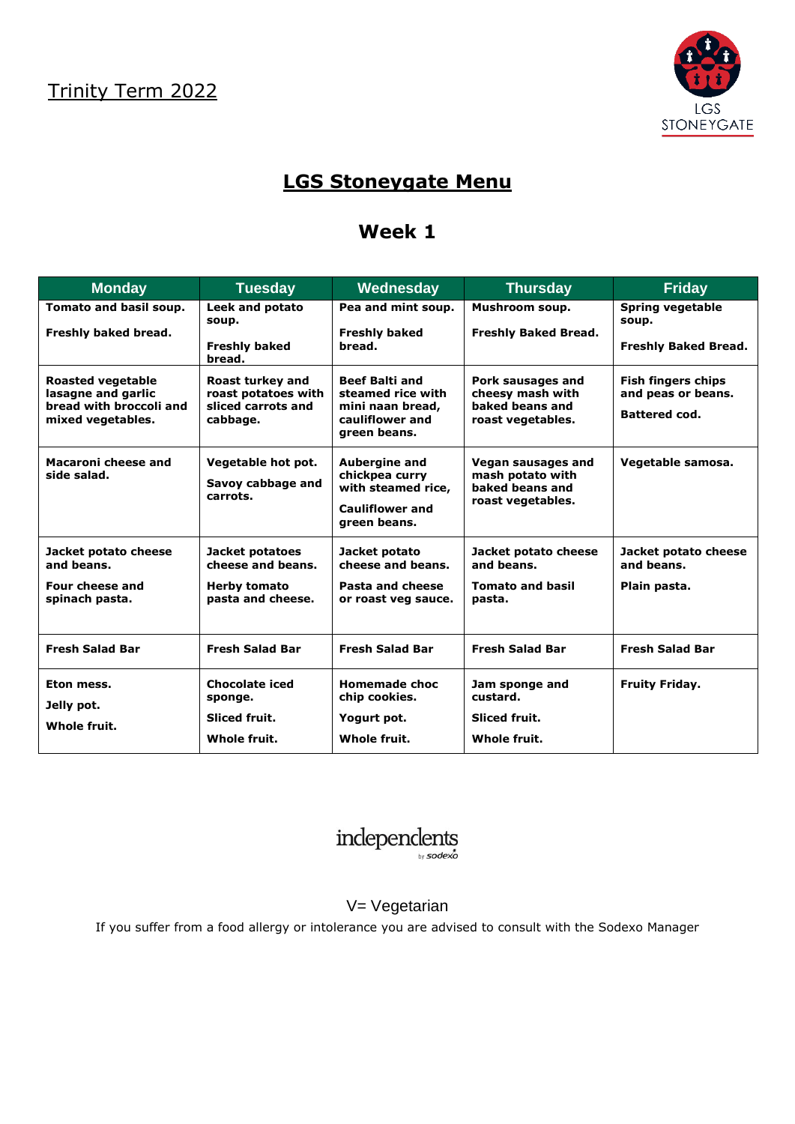

# **LGS Stoneygate Menu**

## **Week 1**

| <b>Monday</b>                                                                                  | <b>Tuesday</b>                                                                   | Wednesday                                                                                              | <b>Thursday</b>                                                                | <b>Friday</b>                                                           |
|------------------------------------------------------------------------------------------------|----------------------------------------------------------------------------------|--------------------------------------------------------------------------------------------------------|--------------------------------------------------------------------------------|-------------------------------------------------------------------------|
| Tomato and basil soup.<br>Freshly baked bread.                                                 | <b>Leek and potato</b><br>soup.<br><b>Freshly baked</b><br>bread.                | Pea and mint soup.<br><b>Freshly baked</b><br>bread.                                                   | Mushroom soup.<br><b>Freshly Baked Bread.</b>                                  | <b>Spring vegetable</b><br>soup.<br><b>Freshly Baked Bread.</b>         |
| <b>Roasted vegetable</b><br>lasagne and garlic<br>bread with broccoli and<br>mixed vegetables. | Roast turkey and<br>roast potatoes with<br>sliced carrots and<br>cabbage.        | <b>Beef Balti and</b><br>steamed rice with<br>mini naan bread,<br>cauliflower and<br>green beans.      | Pork sausages and<br>cheesy mash with<br>baked beans and<br>roast vegetables.  | <b>Fish fingers chips</b><br>and peas or beans.<br><b>Battered cod.</b> |
| Macaroni cheese and<br>side salad.                                                             | Vegetable hot pot.<br>Savoy cabbage and<br>carrots.                              | <b>Aubergine and</b><br>chickpea curry<br>with steamed rice,<br><b>Cauliflower and</b><br>green beans. | Vegan sausages and<br>mash potato with<br>baked beans and<br>roast vegetables. | Vegetable samosa.                                                       |
| Jacket potato cheese<br>and beans.<br>Four cheese and<br>spinach pasta.                        | Jacket potatoes<br>cheese and beans.<br><b>Herby tomato</b><br>pasta and cheese. | Jacket potato<br>cheese and beans.<br>Pasta and cheese<br>or roast veg sauce.                          | Jacket potato cheese<br>and beans.<br><b>Tomato and basil</b><br>pasta.        | Jacket potato cheese<br>and beans.<br>Plain pasta.                      |
| <b>Fresh Salad Bar</b>                                                                         | <b>Fresh Salad Bar</b>                                                           | <b>Fresh Salad Bar</b>                                                                                 | <b>Fresh Salad Bar</b>                                                         | <b>Fresh Salad Bar</b>                                                  |
| Eton mess.<br>Jelly pot.<br>Whole fruit.                                                       | <b>Chocolate iced</b><br>sponge.<br>Sliced fruit.<br>Whole fruit.                | <b>Homemade choc</b><br>chip cookies.<br>Yogurt pot.<br>Whole fruit.                                   | Jam sponge and<br>custard.<br>Sliced fruit.<br>Whole fruit.                    | <b>Fruity Friday.</b>                                                   |



#### V= Vegetarian

If you suffer from a food allergy or intolerance you are advised to consult with the Sodexo Manager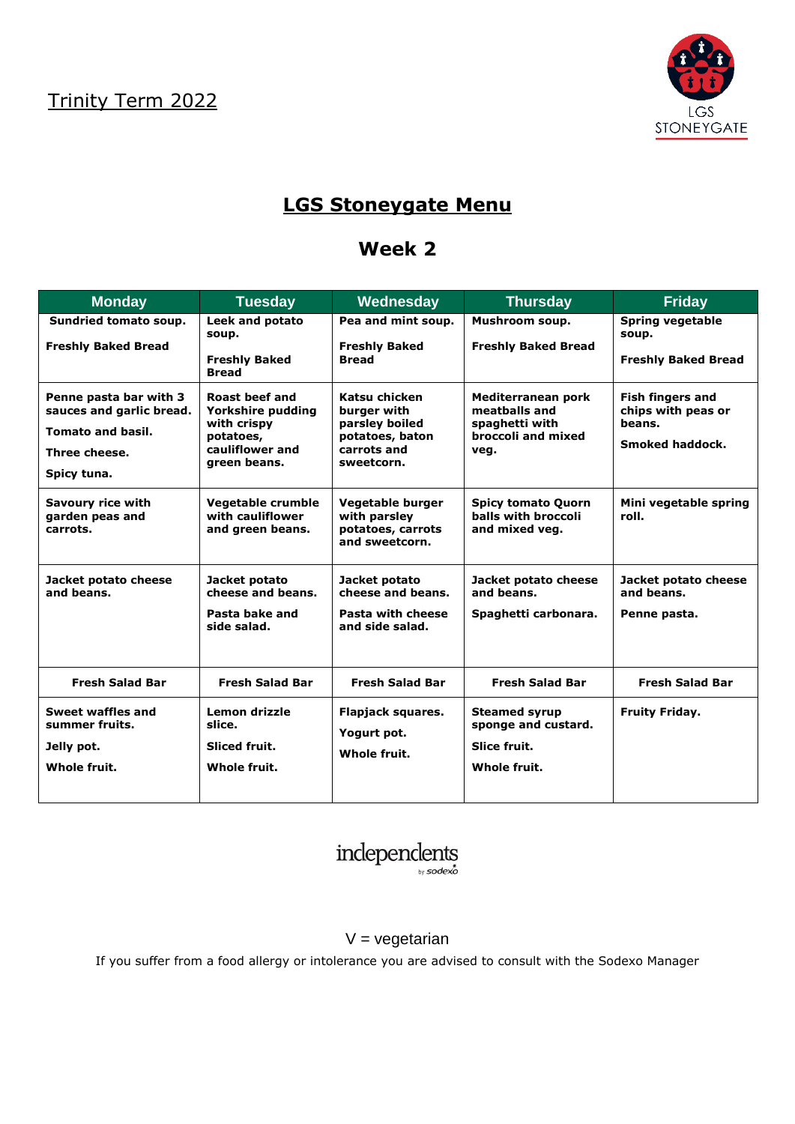

## **LGS Stoneygate Menu**

### **Week 2**

| <b>Monday</b>                                                                                                  | <b>Tuesday</b>                                                                                            | Wednesday                                                                                      | <b>Thursday</b>                                                                     | <b>Friday</b>                                                              |
|----------------------------------------------------------------------------------------------------------------|-----------------------------------------------------------------------------------------------------------|------------------------------------------------------------------------------------------------|-------------------------------------------------------------------------------------|----------------------------------------------------------------------------|
| Sundried tomato soup.<br><b>Freshly Baked Bread</b>                                                            | <b>Leek and potato</b><br>soup.<br><b>Freshly Baked</b><br><b>Bread</b>                                   | Pea and mint soup.<br><b>Freshly Baked</b><br><b>Bread</b>                                     | Mushroom soup.<br><b>Freshly Baked Bread</b>                                        | Spring vegetable<br>soup.<br><b>Freshly Baked Bread</b>                    |
| Penne pasta bar with 3<br>sauces and garlic bread.<br><b>Tomato and basil.</b><br>Three cheese.<br>Spicy tuna. | <b>Roast beef and</b><br>Yorkshire pudding<br>with crispy<br>potatoes,<br>cauliflower and<br>green beans. | Katsu chicken<br>burger with<br>parsley boiled<br>potatoes, baton<br>carrots and<br>sweetcorn. | Mediterranean pork<br>meatballs and<br>spaghetti with<br>broccoli and mixed<br>veg. | <b>Fish fingers and</b><br>chips with peas or<br>beans.<br>Smoked haddock. |
| Savoury rice with<br>garden peas and<br>carrots.                                                               | Vegetable crumble<br>with cauliflower<br>and green beans.                                                 | Vegetable burger<br>with parsley<br>potatoes, carrots<br>and sweetcorn.                        | <b>Spicy tomato Quorn</b><br>balls with broccoli<br>and mixed veg.                  | Mini vegetable spring<br>roll.                                             |
| Jacket potato cheese<br>and beans.                                                                             | Jacket potato<br>cheese and beans.<br>Pasta bake and<br>side salad.                                       | Jacket potato<br>cheese and beans.<br>Pasta with cheese<br>and side salad.                     | Jacket potato cheese<br>and beans.<br>Spaghetti carbonara.                          | Jacket potato cheese<br>and beans.<br>Penne pasta.                         |
| <b>Fresh Salad Bar</b>                                                                                         | <b>Fresh Salad Bar</b>                                                                                    | <b>Fresh Salad Bar</b>                                                                         | <b>Fresh Salad Bar</b>                                                              | <b>Fresh Salad Bar</b>                                                     |
| Sweet waffles and<br>summer fruits.<br>Jelly pot.<br>Whole fruit.                                              | Lemon drizzle<br>slice.<br><b>Sliced fruit.</b><br>Whole fruit.                                           | Flapjack squares.<br>Yogurt pot.<br>Whole fruit.                                               | <b>Steamed syrup</b><br>sponge and custard.<br>Slice fruit.<br>Whole fruit.         | <b>Fruity Friday.</b>                                                      |



#### $V = v$ egetarian

If you suffer from a food allergy or intolerance you are advised to consult with the Sodexo Manager